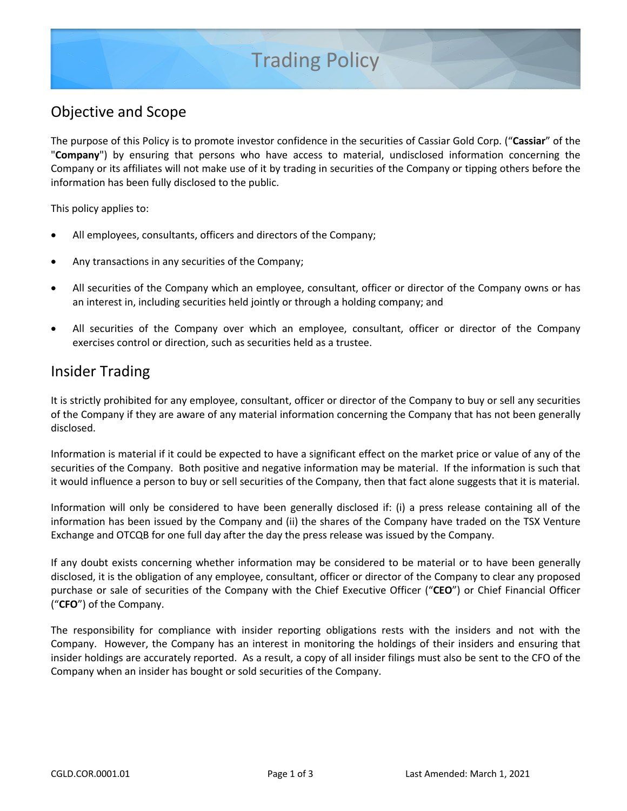# Trading Policy

## Objective and Scope

The purpose of this Policy is to promote investor confidence in the securities of Cassiar Gold Corp. ("**Cassiar**" of the "**Company**") by ensuring that persons who have access to material, undisclosed information concerning the Company or its affiliates will not make use of it by trading in securities of the Company or tipping others before the information has been fully disclosed to the public.

This policy applies to:

- All employees, consultants, officers and directors of the Company;
- Any transactions in any securities of the Company;
- All securities of the Company which an employee, consultant, officer or director of the Company owns or has an interest in, including securities held jointly or through a holding company; and
- All securities of the Company over which an employee, consultant, officer or director of the Company exercises control or direction, such as securities held as a trustee.

#### Insider Trading

It is strictly prohibited for any employee, consultant, officer or director of the Company to buy or sell any securities of the Company if they are aware of any material information concerning the Company that has not been generally disclosed.

Information is material if it could be expected to have a significant effect on the market price or value of any of the securities of the Company. Both positive and negative information may be material. If the information is such that it would influence a person to buy or sell securities of the Company, then that fact alone suggests that it is material.

Information will only be considered to have been generally disclosed if: (i) a press release containing all of the information has been issued by the Company and (ii) the shares of the Company have traded on the TSX Venture Exchange and OTCQB for one full day after the day the press release was issued by the Company.

If any doubt exists concerning whether information may be considered to be material or to have been generally disclosed, it is the obligation of any employee, consultant, officer or director of the Company to clear any proposed purchase or sale of securities of the Company with the Chief Executive Officer ("**CEO**") or Chief Financial Officer ("**CFO**") of the Company.

The responsibility for compliance with insider reporting obligations rests with the insiders and not with the Company. However, the Company has an interest in monitoring the holdings of their insiders and ensuring that insider holdings are accurately reported. As a result, a copy of all insider filings must also be sent to the CFO of the Company when an insider has bought or sold securities of the Company.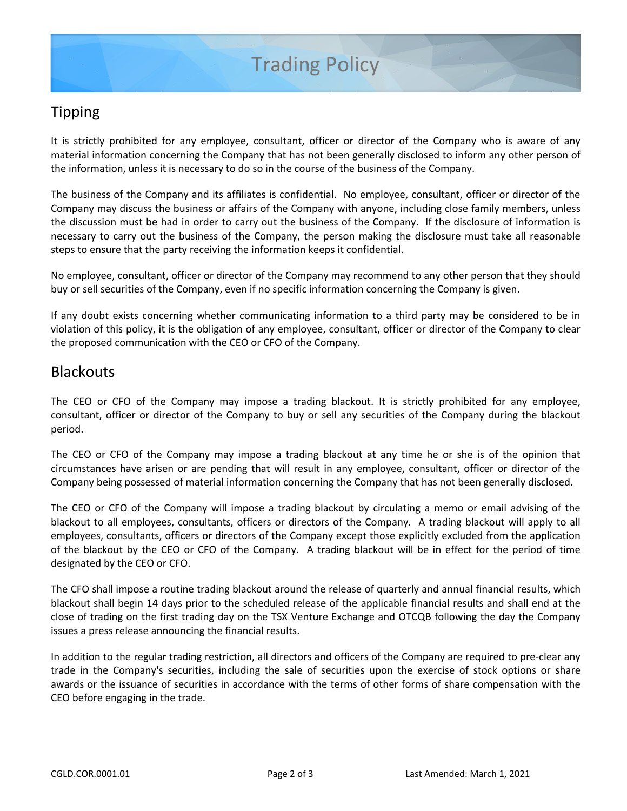# Tipping

It is strictly prohibited for any employee, consultant, officer or director of the Company who is aware of any material information concerning the Company that has not been generally disclosed to inform any other person of the information, unless it is necessary to do so in the course of the business of the Company.

The business of the Company and its affiliates is confidential. No employee, consultant, officer or director of the Company may discuss the business or affairs of the Company with anyone, including close family members, unless the discussion must be had in order to carry out the business of the Company. If the disclosure of information is necessary to carry out the business of the Company, the person making the disclosure must take all reasonable steps to ensure that the party receiving the information keeps it confidential.

No employee, consultant, officer or director of the Company may recommend to any other person that they should buy or sell securities of the Company, even if no specific information concerning the Company is given.

If any doubt exists concerning whether communicating information to a third party may be considered to be in violation of this policy, it is the obligation of any employee, consultant, officer or director of the Company to clear the proposed communication with the CEO or CFO of the Company.

#### **Blackouts**

The CEO or CFO of the Company may impose a trading blackout. It is strictly prohibited for any employee, consultant, officer or director of the Company to buy or sell any securities of the Company during the blackout period.

The CEO or CFO of the Company may impose a trading blackout at any time he or she is of the opinion that circumstances have arisen or are pending that will result in any employee, consultant, officer or director of the Company being possessed of material information concerning the Company that has not been generally disclosed.

The CEO or CFO of the Company will impose a trading blackout by circulating a memo or email advising of the blackout to all employees, consultants, officers or directors of the Company. A trading blackout will apply to all employees, consultants, officers or directors of the Company except those explicitly excluded from the application of the blackout by the CEO or CFO of the Company. A trading blackout will be in effect for the period of time designated by the CEO or CFO.

The CFO shall impose a routine trading blackout around the release of quarterly and annual financial results, which blackout shall begin 14 days prior to the scheduled release of the applicable financial results and shall end at the close of trading on the first trading day on the TSX Venture Exchange and OTCQB following the day the Company issues a press release announcing the financial results.

In addition to the regular trading restriction, all directors and officers of the Company are required to pre-clear any trade in the Company's securities, including the sale of securities upon the exercise of stock options or share awards or the issuance of securities in accordance with the terms of other forms of share compensation with the CEO before engaging in the trade.